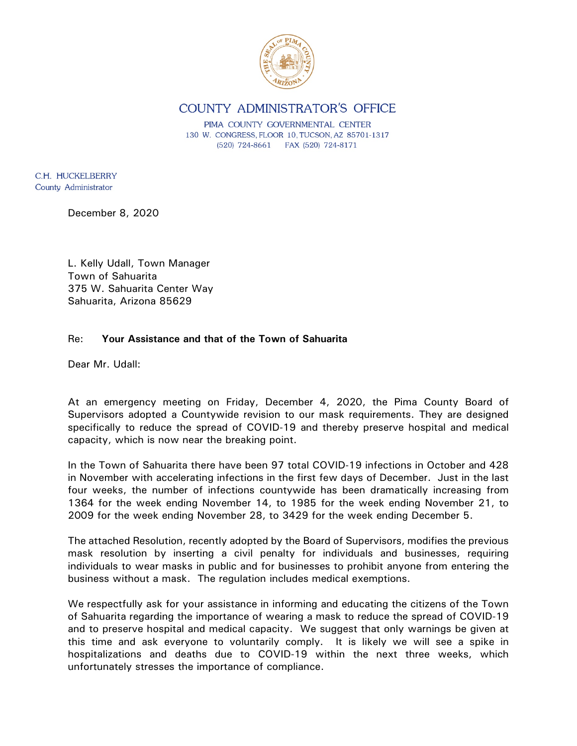

COUNTY ADMINISTRATOR'S OFFICE

PIMA COUNTY GOVERNMENTAL CENTER 130 W. CONGRESS, FLOOR 10, TUCSON, AZ 85701-1317  $(520)$  724-8661 FAX (520) 724-8171

C.H. HUCKELBERRY County Administrator

December 8, 2020

L. Kelly Udall, Town Manager Town of Sahuarita 375 W. Sahuarita Center Way Sahuarita, Arizona 85629

## Re: **Your Assistance and that of the Town of Sahuarita**

Dear Mr. Udall:

At an emergency meeting on Friday, December 4, 2020, the Pima County Board of Supervisors adopted a Countywide revision to our mask requirements. They are designed specifically to reduce the spread of COVID-19 and thereby preserve hospital and medical capacity, which is now near the breaking point.

In the Town of Sahuarita there have been 97 total COVID-19 infections in October and 428 in November with accelerating infections in the first few days of December. Just in the last four weeks, the number of infections countywide has been dramatically increasing from 1364 for the week ending November 14, to 1985 for the week ending November 21, to 2009 for the week ending November 28, to 3429 for the week ending December 5.

The attached Resolution, recently adopted by the Board of Supervisors, modifies the previous mask resolution by inserting a civil penalty for individuals and businesses, requiring individuals to wear masks in public and for businesses to prohibit anyone from entering the business without a mask. The regulation includes medical exemptions.

We respectfully ask for your assistance in informing and educating the citizens of the Town of Sahuarita regarding the importance of wearing a mask to reduce the spread of COVID-19 and to preserve hospital and medical capacity. We suggest that only warnings be given at this time and ask everyone to voluntarily comply. It is likely we will see a spike in hospitalizations and deaths due to COVID-19 within the next three weeks, which unfortunately stresses the importance of compliance.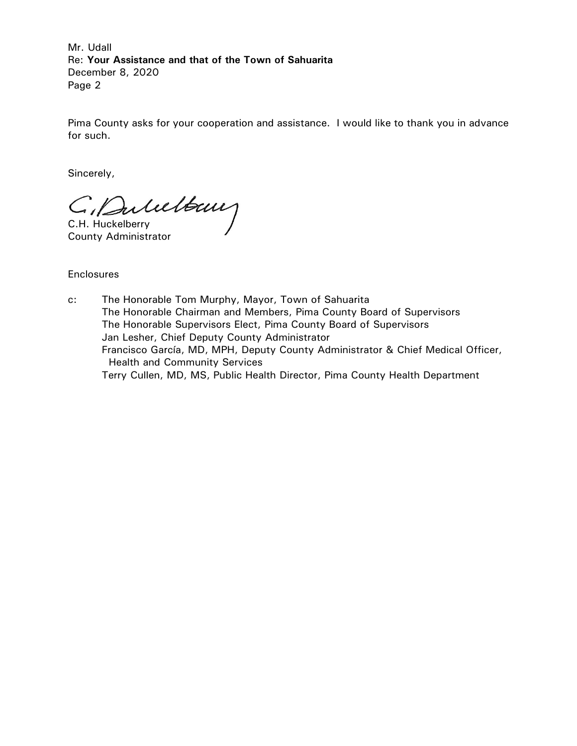Mr. Udall Re: **Your Assistance and that of the Town of Sahuarita** December 8, 2020 Page 2

Pima County asks for your cooperation and assistance. I would like to thank you in advance for such.

Sincerely,

C. Dubelbeury

County Administrator

**Enclosures** 

c: The Honorable Tom Murphy, Mayor, Town of Sahuarita The Honorable Chairman and Members, Pima County Board of Supervisors The Honorable Supervisors Elect, Pima County Board of Supervisors Jan Lesher, Chief Deputy County Administrator Francisco García, MD, MPH, Deputy County Administrator & Chief Medical Officer, Health and Community Services Terry Cullen, MD, MS, Public Health Director, Pima County Health Department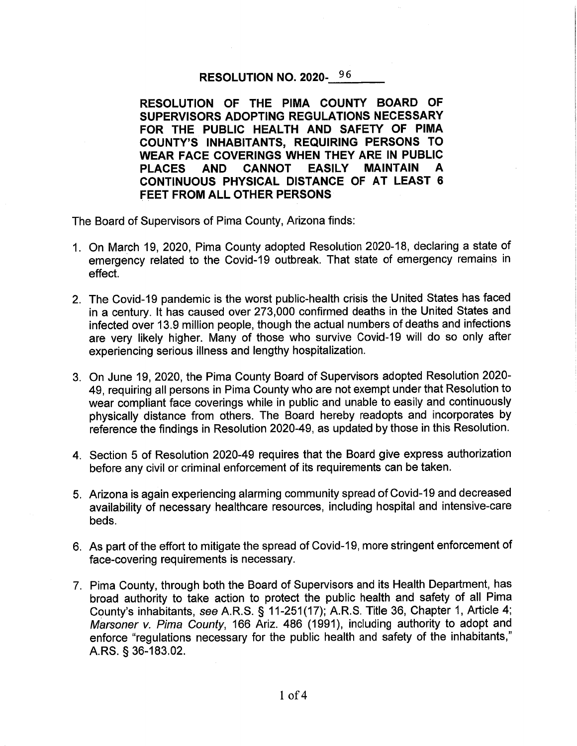## RESOLUTION NO. 2020-96

RESOLUTION OF THE PIMA COUNTY BOARD OF SUPERVISORS ADOPTING REGULATIONS NECESSARY FOR THE PUBLIC HEALTH AND SAFETY OF PIMA **COUNTY'S INHABITANTS, REQUIRING PERSONS TO** WEAR FACE COVERINGS WHEN THEY ARE IN PUBLIC **PLACES** AND CANNOT **EASILY MAINTAIN** A CONTINUOUS PHYSICAL DISTANCE OF AT LEAST 6 **FEET FROM ALL OTHER PERSONS** 

The Board of Supervisors of Pima County, Arizona finds:

- 1. On March 19, 2020, Pima County adopted Resolution 2020-18, declaring a state of emergency related to the Covid-19 outbreak. That state of emergency remains in effect.
- 2. The Covid-19 pandemic is the worst public-health crisis the United States has faced in a century. It has caused over 273,000 confirmed deaths in the United States and infected over 13.9 million people, though the actual numbers of deaths and infections are very likely higher. Many of those who survive Covid-19 will do so only after experiencing serious illness and lengthy hospitalization.
- 3. On June 19, 2020, the Pima County Board of Supervisors adopted Resolution 2020-49, requiring all persons in Pima County who are not exempt under that Resolution to wear compliant face coverings while in public and unable to easily and continuously physically distance from others. The Board hereby readopts and incorporates by reference the findings in Resolution 2020-49, as updated by those in this Resolution.
- 4. Section 5 of Resolution 2020-49 requires that the Board give express authorization before any civil or criminal enforcement of its requirements can be taken.
- 5. Arizona is again experiencing alarming community spread of Covid-19 and decreased availability of necessary healthcare resources, including hospital and intensive-care beds.
- 6. As part of the effort to mitigate the spread of Covid-19, more stringent enforcement of face-covering requirements is necessary.
- 7. Pima County, through both the Board of Supervisors and its Health Department, has broad authority to take action to protect the public health and safety of all Pima County's inhabitants, see A.R.S. § 11-251(17); A.R.S. Title 36, Chapter 1, Article 4; Marsoner v. Pima County, 166 Ariz. 486 (1991), including authority to adopt and enforce "regulations necessary for the public health and safety of the inhabitants," A.RS. § 36-183.02.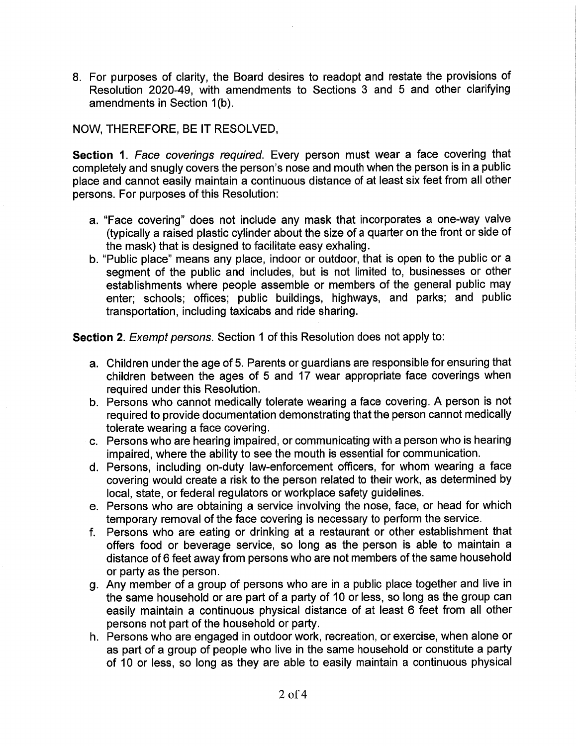8. For purposes of clarity, the Board desires to readopt and restate the provisions of Resolution 2020-49, with amendments to Sections 3 and 5 and other clarifying amendments in Section 1(b).

## NOW, THEREFORE, BE IT RESOLVED,

Section 1. Face coverings required. Every person must wear a face covering that completely and snugly covers the person's nose and mouth when the person is in a public place and cannot easily maintain a continuous distance of at least six feet from all other persons. For purposes of this Resolution:

- a. "Face covering" does not include any mask that incorporates a one-way valve (typically a raised plastic cylinder about the size of a quarter on the front or side of the mask) that is designed to facilitate easy exhaling.
- b. "Public place" means any place, indoor or outdoor, that is open to the public or a segment of the public and includes, but is not limited to, businesses or other establishments where people assemble or members of the general public may enter; schools; offices; public buildings, highways, and parks; and public transportation, including taxicabs and ride sharing.

Section 2. Exempt persons. Section 1 of this Resolution does not apply to:

- a. Children under the age of 5. Parents or guardians are responsible for ensuring that children between the ages of 5 and 17 wear appropriate face coverings when required under this Resolution.
- b. Persons who cannot medically tolerate wearing a face covering. A person is not required to provide documentation demonstrating that the person cannot medically tolerate wearing a face covering.
- c. Persons who are hearing impaired, or communicating with a person who is hearing impaired, where the ability to see the mouth is essential for communication.
- d. Persons, including on-duty law-enforcement officers, for whom wearing a face covering would create a risk to the person related to their work, as determined by local, state, or federal regulators or workplace safety guidelines.
- e. Persons who are obtaining a service involving the nose, face, or head for which temporary removal of the face covering is necessary to perform the service.
- f. Persons who are eating or drinking at a restaurant or other establishment that offers food or beverage service, so long as the person is able to maintain a distance of 6 feet away from persons who are not members of the same household or party as the person.
- g. Any member of a group of persons who are in a public place together and live in the same household or are part of a party of 10 or less, so long as the group can easily maintain a continuous physical distance of at least 6 feet from all other persons not part of the household or party.
- h. Persons who are engaged in outdoor work, recreation, or exercise, when alone or as part of a group of people who live in the same household or constitute a party of 10 or less, so long as they are able to easily maintain a continuous physical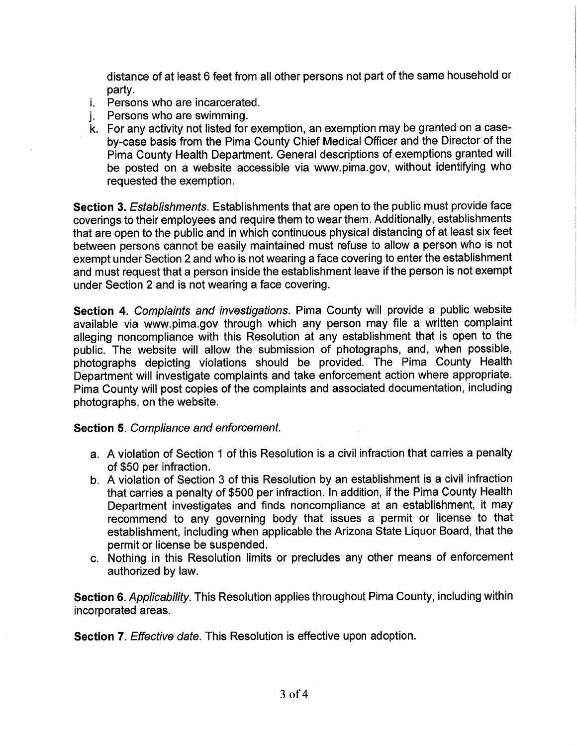distance of at least 6 feet from all other persons not part of the same household or partv.

- *i.* Persons who are incarcerated.
- Persons who are swimming. i.
- k. For any activity not listed for exemption, an exemption may be granted on a caseby-case basis from the Pima County Chief Medical Officer and the Director of the Pima County Health Department. General descriptions of exemptions granted will be posted on a website accessible via www.pima.gov, without identifying who requested the exemption.

Section 3. Establishments. Establishments that are open to the public must provide face coverings to their employees and require them to wear them. Additionally, establishments that are open to the public and in which continuous physical distancing of at least six feet between persons cannot be easily maintained must refuse to allow a person who is not exempt under Section 2 and who is not wearing a face covering to enter the establishment and must request that a person inside the establishment leave if the person is not exempt under Section 2 and is not wearing a face covering.

Section 4. Complaints and investigations. Pima County will provide a public website available via www.pima.gov through which any person may file a written complaint alleging noncompliance with this Resolution at any establishment that is open to the public. The website will allow the submission of photographs, and, when possible, photographs depicting violations should be provided. The Pima County Health Department will investigate complaints and take enforcement action where appropriate. Pima County will post copies of the complaints and associated documentation, including photographs, on the website.

## **Section 5. Compliance and enforcement.**

- a. A violation of Section 1 of this Resolution is a civil infraction that carries a penalty of \$50 per infraction.
- b. A violation of Section 3 of this Resolution by an establishment is a civil infraction that carries a penalty of \$500 per infraction. In addition, if the Pima County Health Department investigates and finds noncompliance at an establishment, it may recommend to any governing body that issues a permit or license to that establishment, including when applicable the Arizona State Liquor Board, that the permit or license be suspended.
- c. Nothing in this Resolution limits or precludes any other means of enforcement authorized by law.

Section 6. Applicability. This Resolution applies throughout Pima County, including within incorporated areas.

**Section 7.** Effective date. This Resolution is effective upon adoption.